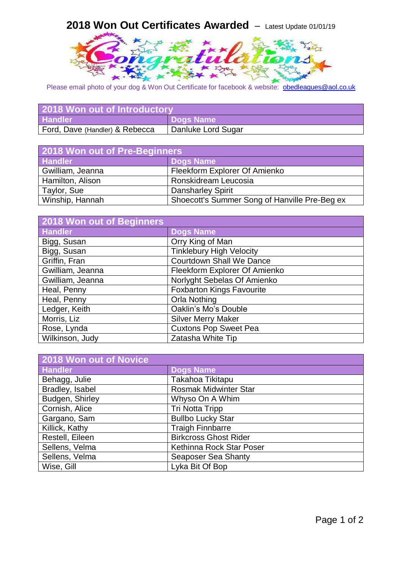## **2018 Won Out Certificates Awarded** – Latest Update 01/01/19



Please email photo of your dog & Won Out Certificate for facebook & website: [obedleagues@aol.co.uk](mailto:obedleagues@aol.co.uk)

| 2018 Won out of Introductory   |                    |
|--------------------------------|--------------------|
| <b>Handler</b>                 | Dogs Name          |
| Ford, Dave (Handler) & Rebecca | Danluke Lord Sugar |

| 2018 Won out of Pre-Beginners |                                               |
|-------------------------------|-----------------------------------------------|
| <b>Handler</b>                | <b>Dogs Name</b>                              |
| Gwilliam, Jeanna              | Fleekform Explorer Of Amienko                 |
| Hamilton, Alison              | Ronskidream Leucosia                          |
| Taylor, Sue                   | <b>Dansharley Spirit</b>                      |
| Winship, Hannah               | Shoecott's Summer Song of Hanville Pre-Beg ex |

| 2018 Won out of Beginners |                                  |
|---------------------------|----------------------------------|
| <b>Handler</b>            | <b>Dogs Name</b>                 |
| Bigg, Susan               | Orry King of Man                 |
| Bigg, Susan               | <b>Tinklebury High Velocity</b>  |
| Griffin, Fran             | <b>Courtdown Shall We Dance</b>  |
| Gwilliam, Jeanna          | Fleekform Explorer Of Amienko    |
| Gwilliam, Jeanna          | Norlyght Sebelas Of Amienko      |
| Heal, Penny               | <b>Foxbarton Kings Favourite</b> |
| Heal, Penny               | Orla Nothing                     |
| Ledger, Keith             | Oaklin's Mo's Double             |
| Morris, Liz               | <b>Silver Merry Maker</b>        |
| Rose, Lynda               | <b>Cuxtons Pop Sweet Pea</b>     |
| Wilkinson, Judy           | Zatasha White Tip                |

| 2018 Won out of Novice |                              |
|------------------------|------------------------------|
| <b>Handler</b>         | <b>Dogs Name</b>             |
| Behagg, Julie          | Takahoa Tikitapu             |
| Bradley, Isabel        | <b>Rosmak Midwinter Star</b> |
| Budgen, Shirley        | Whyso On A Whim              |
| Cornish, Alice         | <b>Tri Notta Tripp</b>       |
| Gargano, Sam           | <b>Bullbo Lucky Star</b>     |
| Killick, Kathy         | <b>Traigh Finnbarre</b>      |
| Restell, Eileen        | <b>Birkcross Ghost Rider</b> |
| Sellens, Velma         | Kethinna Rock Star Poser     |
| Sellens, Velma         | <b>Seaposer Sea Shanty</b>   |
| Wise, Gill             | Lyka Bit Of Bop              |